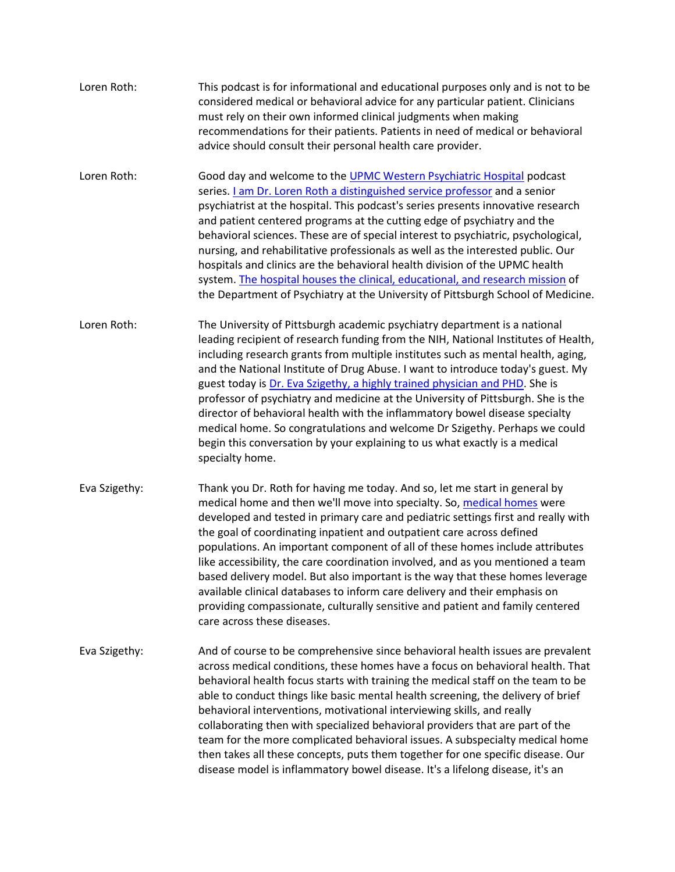| Loren Roth:   | This podcast is for informational and educational purposes only and is not to be<br>considered medical or behavioral advice for any particular patient. Clinicians<br>must rely on their own informed clinical judgments when making<br>recommendations for their patients. Patients in need of medical or behavioral<br>advice should consult their personal health care provider.                                                                                                                                                                                                                                                                                                                                                                                     |
|---------------|-------------------------------------------------------------------------------------------------------------------------------------------------------------------------------------------------------------------------------------------------------------------------------------------------------------------------------------------------------------------------------------------------------------------------------------------------------------------------------------------------------------------------------------------------------------------------------------------------------------------------------------------------------------------------------------------------------------------------------------------------------------------------|
| Loren Roth:   | Good day and welcome to the UPMC Western Psychiatric Hospital podcast<br>series. <i>Lam Dr. Loren Roth a distinguished service professor</i> and a senior<br>psychiatrist at the hospital. This podcast's series presents innovative research<br>and patient centered programs at the cutting edge of psychiatry and the<br>behavioral sciences. These are of special interest to psychiatric, psychological,<br>nursing, and rehabilitative professionals as well as the interested public. Our<br>hospitals and clinics are the behavioral health division of the UPMC health<br>system. The hospital houses the clinical, educational, and research mission of<br>the Department of Psychiatry at the University of Pittsburgh School of Medicine.                   |
| Loren Roth:   | The University of Pittsburgh academic psychiatry department is a national<br>leading recipient of research funding from the NIH, National Institutes of Health,<br>including research grants from multiple institutes such as mental health, aging,<br>and the National Institute of Drug Abuse. I want to introduce today's guest. My<br>guest today is Dr. Eva Szigethy, a highly trained physician and PHD. She is<br>professor of psychiatry and medicine at the University of Pittsburgh. She is the<br>director of behavioral health with the inflammatory bowel disease specialty<br>medical home. So congratulations and welcome Dr Szigethy. Perhaps we could<br>begin this conversation by your explaining to us what exactly is a medical<br>specialty home. |
| Eva Szigethy: | Thank you Dr. Roth for having me today. And so, let me start in general by<br>medical home and then we'll move into specialty. So, medical homes were<br>developed and tested in primary care and pediatric settings first and really with<br>the goal of coordinating inpatient and outpatient care across defined<br>populations. An important component of all of these homes include attributes<br>like accessibility, the care coordination involved, and as you mentioned a team<br>based delivery model. But also important is the way that these homes leverage<br>available clinical databases to inform care delivery and their emphasis on<br>providing compassionate, culturally sensitive and patient and family centered<br>care across these diseases.   |
| Eva Szigethy: | And of course to be comprehensive since behavioral health issues are prevalent<br>across medical conditions, these homes have a focus on behavioral health. That<br>behavioral health focus starts with training the medical staff on the team to be<br>able to conduct things like basic mental health screening, the delivery of brief<br>behavioral interventions, motivational interviewing skills, and really<br>collaborating then with specialized behavioral providers that are part of the<br>team for the more complicated behavioral issues. A subspecialty medical home<br>then takes all these concepts, puts them together for one specific disease. Our<br>disease model is inflammatory bowel disease. It's a lifelong disease, it's an                 |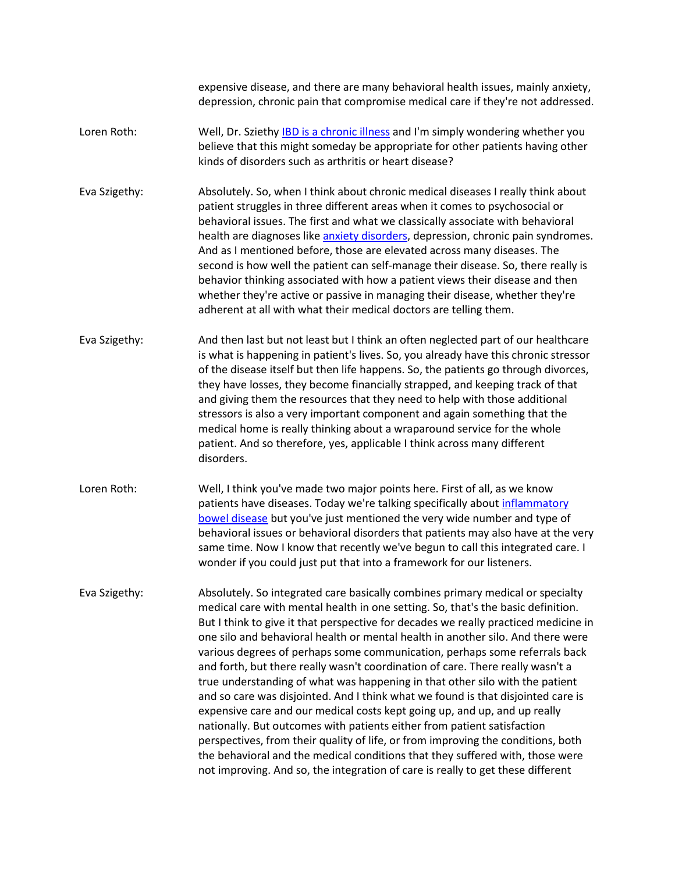expensive disease, and there are many behavioral health issues, mainly anxiety, depression, chronic pain that compromise medical care if they're not addressed.

- Loren Roth: Well, Dr. Szieth[y IBD is a chronic illness](https://www.upmc.com/services/digestive-disorders-center/services/ibd) and I'm simply wondering whether you believe that this might someday be appropriate for other patients having other kinds of disorders such as arthritis or heart disease?
- Eva Szigethy: Absolutely. So, when I think about chronic medical diseases I really think about patient struggles in three different areas when it comes to psychosocial or behavioral issues. The first and what we classically associate with behavioral health are diagnoses like [anxiety disorders,](https://www.upmc.com/health-library/article?hwid=sta14104) depression, chronic pain syndromes. And as I mentioned before, those are elevated across many diseases. The second is how well the patient can self-manage their disease. So, there really is behavior thinking associated with how a patient views their disease and then whether they're active or passive in managing their disease, whether they're adherent at all with what their medical doctors are telling them.
- Eva Szigethy: And then last but not least but I think an often neglected part of our healthcare is what is happening in patient's lives. So, you already have this chronic stressor of the disease itself but then life happens. So, the patients go through divorces, they have losses, they become financially strapped, and keeping track of that and giving them the resources that they need to help with those additional stressors is also a very important component and again something that the medical home is really thinking about a wraparound service for the whole patient. And so therefore, yes, applicable I think across many different disorders.
- Loren Roth: Well, I think you've made two major points here. First of all, as we know patients have diseases. Today we're talking specifically about [inflammatory](https://www.upmc.com/health-library/article?hwid=sti150603)  [bowel disease](https://www.upmc.com/health-library/article?hwid=sti150603) but you've just mentioned the very wide number and type of behavioral issues or behavioral disorders that patients may also have at the very same time. Now I know that recently we've begun to call this integrated care. I wonder if you could just put that into a framework for our listeners.
- Eva Szigethy: Absolutely. So integrated care basically combines primary medical or specialty medical care with mental health in one setting. So, that's the basic definition. But I think to give it that perspective for decades we really practiced medicine in one silo and behavioral health or mental health in another silo. And there were various degrees of perhaps some communication, perhaps some referrals back and forth, but there really wasn't coordination of care. There really wasn't a true understanding of what was happening in that other silo with the patient and so care was disjointed. And I think what we found is that disjointed care is expensive care and our medical costs kept going up, and up, and up really nationally. But outcomes with patients either from patient satisfaction perspectives, from their quality of life, or from improving the conditions, both the behavioral and the medical conditions that they suffered with, those were not improving. And so, the integration of care is really to get these different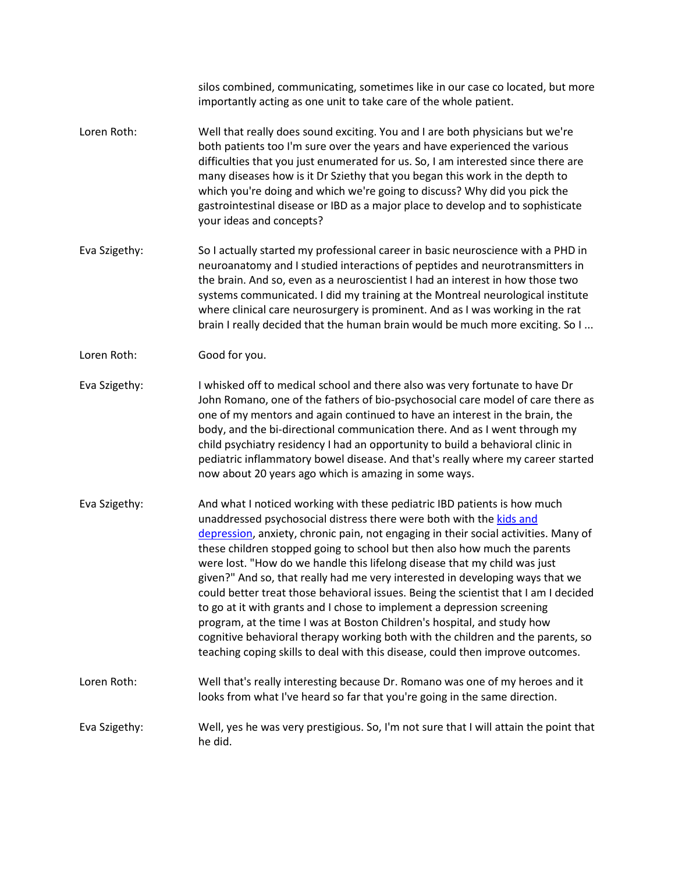silos combined, communicating, sometimes like in our case co located, but more importantly acting as one unit to take care of the whole patient.

- Loren Roth: Well that really does sound exciting. You and I are both physicians but we're both patients too I'm sure over the years and have experienced the various difficulties that you just enumerated for us. So, I am interested since there are many diseases how is it Dr Sziethy that you began this work in the depth to which you're doing and which we're going to discuss? Why did you pick the gastrointestinal disease or IBD as a major place to develop and to sophisticate your ideas and concepts?
- Eva Szigethy: So I actually started my professional career in basic neuroscience with a PHD in neuroanatomy and I studied interactions of peptides and neurotransmitters in the brain. And so, even as a neuroscientist I had an interest in how those two systems communicated. I did my training at the Montreal neurological institute where clinical care neurosurgery is prominent. And as I was working in the rat brain I really decided that the human brain would be much more exciting. So I ...
- Loren Roth: Good for you.
- Eva Szigethy: I whisked off to medical school and there also was very fortunate to have Dr John Romano, one of the fathers of bio-psychosocial care model of care there as one of my mentors and again continued to have an interest in the brain, the body, and the bi-directional communication there. And as I went through my child psychiatry residency I had an opportunity to build a behavioral clinic in pediatric inflammatory bowel disease. And that's really where my career started now about 20 years ago which is amazing in some ways.
- Eva Szigethy: And what I noticed working with these pediatric IBD patients is how much unaddressed psychosocial distress there were both with the kids and [depression,](https://www.upmc.com/health-library/article?hwid=ty4640) anxiety, chronic pain, not engaging in their social activities. Many of these children stopped going to school but then also how much the parents were lost. "How do we handle this lifelong disease that my child was just given?" And so, that really had me very interested in developing ways that we could better treat those behavioral issues. Being the scientist that I am I decided to go at it with grants and I chose to implement a depression screening program, at the time I was at Boston Children's hospital, and study how cognitive behavioral therapy working both with the children and the parents, so teaching coping skills to deal with this disease, could then improve outcomes.
- Loren Roth: Well that's really interesting because Dr. Romano was one of my heroes and it looks from what I've heard so far that you're going in the same direction.
- Eva Szigethy: Well, yes he was very prestigious. So, I'm not sure that I will attain the point that he did.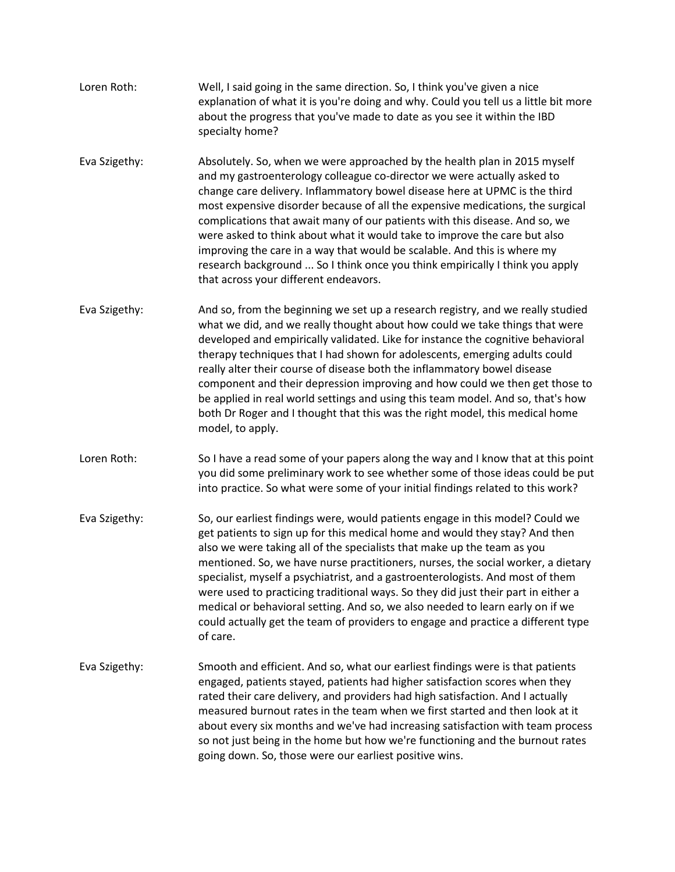- Loren Roth: Well, I said going in the same direction. So, I think you've given a nice explanation of what it is you're doing and why. Could you tell us a little bit more about the progress that you've made to date as you see it within the IBD specialty home?
- Eva Szigethy: Absolutely. So, when we were approached by the health plan in 2015 myself and my gastroenterology colleague co-director we were actually asked to change care delivery. Inflammatory bowel disease here at UPMC is the third most expensive disorder because of all the expensive medications, the surgical complications that await many of our patients with this disease. And so, we were asked to think about what it would take to improve the care but also improving the care in a way that would be scalable. And this is where my research background ... So I think once you think empirically I think you apply that across your different endeavors.
- Eva Szigethy: And so, from the beginning we set up a research registry, and we really studied what we did, and we really thought about how could we take things that were developed and empirically validated. Like for instance the cognitive behavioral therapy techniques that I had shown for adolescents, emerging adults could really alter their course of disease both the inflammatory bowel disease component and their depression improving and how could we then get those to be applied in real world settings and using this team model. And so, that's how both Dr Roger and I thought that this was the right model, this medical home model, to apply.
- Loren Roth: So I have a read some of your papers along the way and I know that at this point you did some preliminary work to see whether some of those ideas could be put into practice. So what were some of your initial findings related to this work?
- Eva Szigethy: So, our earliest findings were, would patients engage in this model? Could we get patients to sign up for this medical home and would they stay? And then also we were taking all of the specialists that make up the team as you mentioned. So, we have nurse practitioners, nurses, the social worker, a dietary specialist, myself a psychiatrist, and a gastroenterologists. And most of them were used to practicing traditional ways. So they did just their part in either a medical or behavioral setting. And so, we also needed to learn early on if we could actually get the team of providers to engage and practice a different type of care.
- Eva Szigethy: Smooth and efficient. And so, what our earliest findings were is that patients engaged, patients stayed, patients had higher satisfaction scores when they rated their care delivery, and providers had high satisfaction. And I actually measured burnout rates in the team when we first started and then look at it about every six months and we've had increasing satisfaction with team process so not just being in the home but how we're functioning and the burnout rates going down. So, those were our earliest positive wins.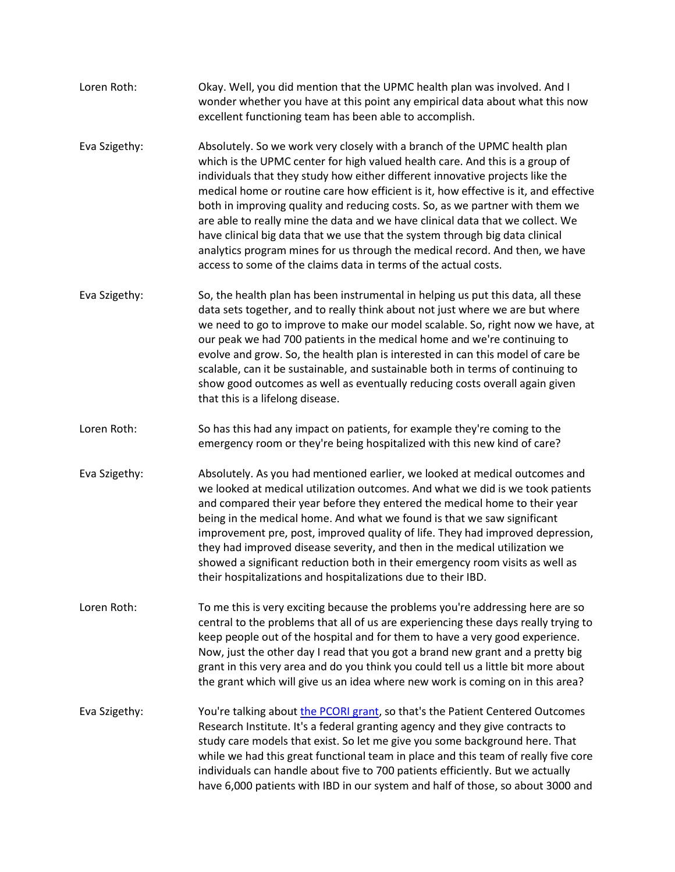- Loren Roth: Okay. Well, you did mention that the UPMC health plan was involved. And I wonder whether you have at this point any empirical data about what this now excellent functioning team has been able to accomplish.
- Eva Szigethy: Absolutely. So we work very closely with a branch of the UPMC health plan which is the UPMC center for high valued health care. And this is a group of individuals that they study how either different innovative projects like the medical home or routine care how efficient is it, how effective is it, and effective both in improving quality and reducing costs. So, as we partner with them we are able to really mine the data and we have clinical data that we collect. We have clinical big data that we use that the system through big data clinical analytics program mines for us through the medical record. And then, we have access to some of the claims data in terms of the actual costs.
- Eva Szigethy: So, the health plan has been instrumental in helping us put this data, all these data sets together, and to really think about not just where we are but where we need to go to improve to make our model scalable. So, right now we have, at our peak we had 700 patients in the medical home and we're continuing to evolve and grow. So, the health plan is interested in can this model of care be scalable, can it be sustainable, and sustainable both in terms of continuing to show good outcomes as well as eventually reducing costs overall again given that this is a lifelong disease.
- Loren Roth: So has this had any impact on patients, for example they're coming to the emergency room or they're being hospitalized with this new kind of care?
- Eva Szigethy: Absolutely. As you had mentioned earlier, we looked at medical outcomes and we looked at medical utilization outcomes. And what we did is we took patients and compared their year before they entered the medical home to their year being in the medical home. And what we found is that we saw significant improvement pre, post, improved quality of life. They had improved depression, they had improved disease severity, and then in the medical utilization we showed a significant reduction both in their emergency room visits as well as their hospitalizations and hospitalizations due to their IBD.
- Loren Roth: To me this is very exciting because the problems you're addressing here are so central to the problems that all of us are experiencing these days really trying to keep people out of the hospital and for them to have a very good experience. Now, just the other day I read that you got a brand new grant and a pretty big grant in this very area and do you think you could tell us a little bit more about the grant which will give us an idea where new work is coming on in this area?
- Eva Szigethy: You're talking about [the PCORI grant,](https://www.pcori.org/) so that's the Patient Centered Outcomes Research Institute. It's a federal granting agency and they give contracts to study care models that exist. So let me give you some background here. That while we had this great functional team in place and this team of really five core individuals can handle about five to 700 patients efficiently. But we actually have 6,000 patients with IBD in our system and half of those, so about 3000 and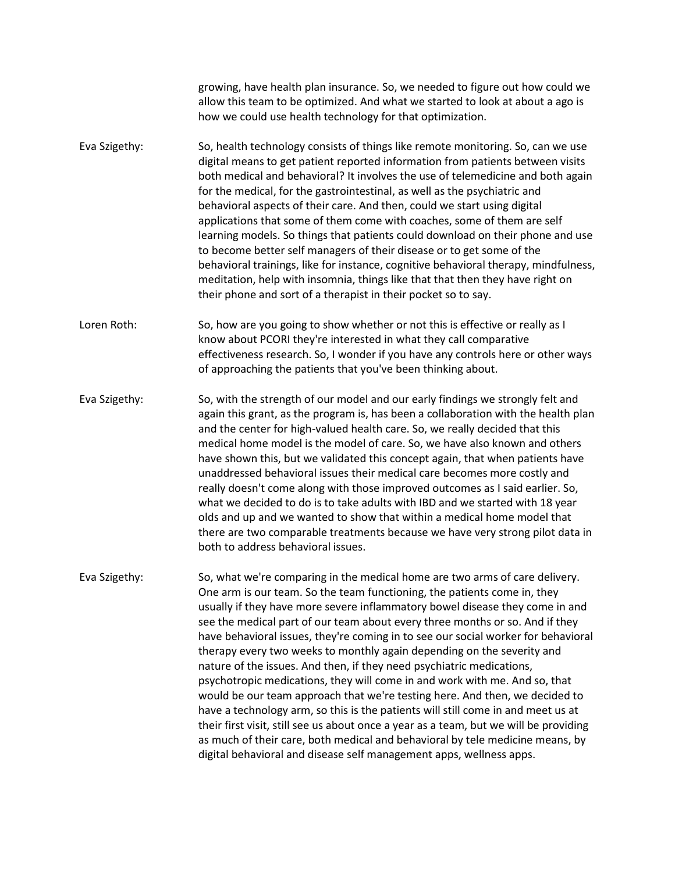growing, have health plan insurance. So, we needed to figure out how could we allow this team to be optimized. And what we started to look at about a ago is how we could use health technology for that optimization.

- Eva Szigethy: So, health technology consists of things like remote monitoring. So, can we use digital means to get patient reported information from patients between visits both medical and behavioral? It involves the use of telemedicine and both again for the medical, for the gastrointestinal, as well as the psychiatric and behavioral aspects of their care. And then, could we start using digital applications that some of them come with coaches, some of them are self learning models. So things that patients could download on their phone and use to become better self managers of their disease or to get some of the behavioral trainings, like for instance, cognitive behavioral therapy, mindfulness, meditation, help with insomnia, things like that that then they have right on their phone and sort of a therapist in their pocket so to say.
- Loren Roth: So, how are you going to show whether or not this is effective or really as I know about PCORI they're interested in what they call comparative effectiveness research. So, I wonder if you have any controls here or other ways of approaching the patients that you've been thinking about.
- Eva Szigethy: So, with the strength of our model and our early findings we strongly felt and again this grant, as the program is, has been a collaboration with the health plan and the center for high-valued health care. So, we really decided that this medical home model is the model of care. So, we have also known and others have shown this, but we validated this concept again, that when patients have unaddressed behavioral issues their medical care becomes more costly and really doesn't come along with those improved outcomes as I said earlier. So, what we decided to do is to take adults with IBD and we started with 18 year olds and up and we wanted to show that within a medical home model that there are two comparable treatments because we have very strong pilot data in both to address behavioral issues.
- Eva Szigethy: So, what we're comparing in the medical home are two arms of care delivery. One arm is our team. So the team functioning, the patients come in, they usually if they have more severe inflammatory bowel disease they come in and see the medical part of our team about every three months or so. And if they have behavioral issues, they're coming in to see our social worker for behavioral therapy every two weeks to monthly again depending on the severity and nature of the issues. And then, if they need psychiatric medications, psychotropic medications, they will come in and work with me. And so, that would be our team approach that we're testing here. And then, we decided to have a technology arm, so this is the patients will still come in and meet us at their first visit, still see us about once a year as a team, but we will be providing as much of their care, both medical and behavioral by tele medicine means, by digital behavioral and disease self management apps, wellness apps.